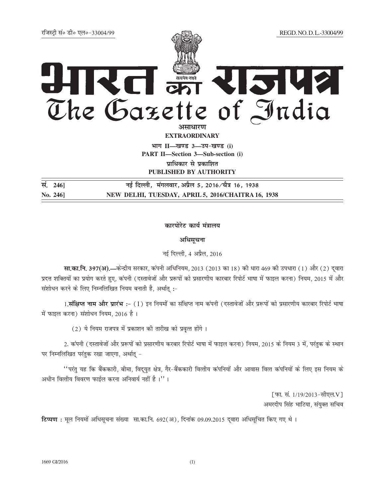## REI ON RISK? The Gazette of India

<mark>असाधारण</mark> **EXTRAORDINARY**

 $\lim_{h \to 0} \frac{1}{h} = \frac{1}{h}$  3 and  $\lim_{h \to 0} \frac{1}{h}$ **PART II—Section 3—Sub-section (i) प्राधिकार से प्रकाशित PUBLISHED BY AUTHORITY**

**la-** 246] **ubzta-biz formal bar field for the field of the field of the field of the field of the field of the field of the field of the field of the field of the field of the field of the field of the field of the field No. 246] NEW DELHI, TUESDAY, APRIL 5, 2016/CHAITRA 16, 1938**

## कारपोरेट कार्य **मंत्रालय**

अधि**स**चना

नई दिल्ली. 4 अप्रैल, 2016

**सा.का.नि. 397(अ).—केन्द्रीय सरकार, कंपनी अधिनियम, 2013 (2013 का 18) की धारा 469 की उपधारा (1) और (2) दुवारा** प्रदत्त शक्तियों का प्रयोग करते हुए, कंपनी (दस्तावेजों और प्ररूपों को प्रसारणीय कारबार रिपोर्ट भाषा में फाइल करना) नियम, 2015 में और संशोधन करने के लिए निम्नलिखित नियम बनाती है, अर्थातु :-

1**.संक्षिप्त नाम और प्रारंभ :**- (1) इन नियमों का संक्षिप्त नाम कंपनी (दस्तावेजों और प्ररूपों को प्रसारणीय कारबार रिपोर्ट भाषा में फाइल करना) संशोधन नियम, 2016 है।

 $(2)$  ये नियम राजपत्र में प्रकाशन की तारीख को प्रवृत्त होंगे।

2. कंपनी (दस्तावेजों और प्ररूपों को प्रसारणीय करबार रिपोर्ट भाषा में फाइल करना) नियम, 2015 के नियम 3 में, परंतुक के स्थान पर निम्नलिखित परंतुक रखा जाएगा, अर्थात् -

 $^{\prime\prime}$ परंतु यह कि बैंककारी, बीमा, विद्युत क्षेत्र, गैर-बैंककारी वित्तीय कंपनियों और आवास वित्त कंपनियों के लिए इस नियम के अधीन वित्तीय विवरण फाईल करना अनिवार्य नहीं है ।''।

> [फा. सं. 1/19/2013-सीएल.V] अमरदीप सिंह भाटिया, संयुक्त सचिव

**टिप्पण :** मूल नियमों अधिसूचना संख्या सा.का.नि. 692(अ), दिनांक 09.09.2015 दवारा अधिसूचित किए गए थे।